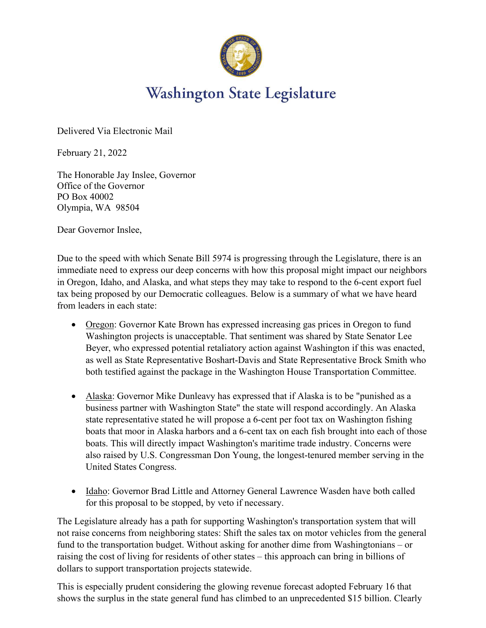

## **Washington State Legislature**

Delivered Via Electronic Mail

February 21, 2022

The Honorable Jay Inslee, Governor Office of the Governor PO Box 40002 Olympia, WA 98504

Dear Governor Inslee,

Due to the speed with which Senate Bill 5974 is progressing through the Legislature, there is an immediate need to express our deep concerns with how this proposal might impact our neighbors in Oregon, Idaho, and Alaska, and what steps they may take to respond to the 6-cent export fuel tax being proposed by our Democratic colleagues. Below is a summary of what we have heard from leaders in each state:

- Oregon: Governor Kate Brown has expressed increasing gas prices in Oregon to fund Washington projects is unacceptable. That sentiment was shared by State Senator Lee Beyer, who expressed potential retaliatory action against Washington if this was enacted, as well as State Representative Boshart-Davis and State Representative Brock Smith who both testified against the package in the Washington House Transportation Committee.
- Alaska: Governor Mike Dunleavy has expressed that if Alaska is to be "punished as a business partner with Washington State" the state will respond accordingly. An Alaska state representative stated he will propose a 6-cent per foot tax on Washington fishing boats that moor in Alaska harbors and a 6-cent tax on each fish brought into each of those boats. This will directly impact Washington's maritime trade industry. Concerns were also raised by U.S. Congressman Don Young, the longest-tenured member serving in the United States Congress.
- Idaho: Governor Brad Little and Attorney General Lawrence Wasden have both called for this proposal to be stopped, by veto if necessary.

The Legislature already has a path for supporting Washington's transportation system that will not raise concerns from neighboring states: Shift the sales tax on motor vehicles from the general fund to the transportation budget. Without asking for another dime from Washingtonians – or raising the cost of living for residents of other states – this approach can bring in billions of dollars to support transportation projects statewide.

This is especially prudent considering the glowing revenue forecast adopted February 16 that shows the surplus in the state general fund has climbed to an unprecedented \$15 billion. Clearly